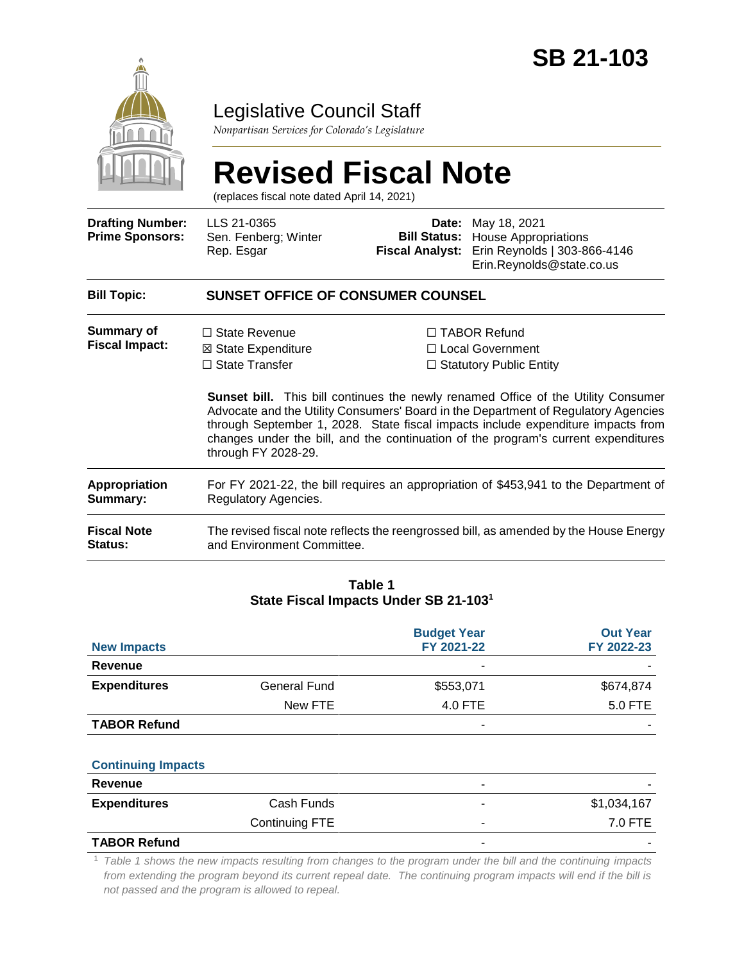

# Legislative Council Staff

*Nonpartisan Services for Colorado's Legislature*

# **Revised Fiscal Note**

(replaces fiscal note dated April 14, 2021)

| <b>Drafting Number:</b><br><b>Prime Sponsors:</b> | LLS 21-0365<br>Sen. Fenberg; Winter<br>Rep. Esgar                                                                   | <b>Fiscal Analyst:</b> | <b>Date:</b> May 18, 2021<br><b>Bill Status:</b> House Appropriations<br>Erin Reynolds   303-866-4146<br>Erin.Reynolds@state.co.us                                                                                                                                                                                                                                                                                                      |  |
|---------------------------------------------------|---------------------------------------------------------------------------------------------------------------------|------------------------|-----------------------------------------------------------------------------------------------------------------------------------------------------------------------------------------------------------------------------------------------------------------------------------------------------------------------------------------------------------------------------------------------------------------------------------------|--|
| <b>Bill Topic:</b>                                | <b>SUNSET OFFICE OF CONSUMER COUNSEL</b>                                                                            |                        |                                                                                                                                                                                                                                                                                                                                                                                                                                         |  |
| Summary of<br><b>Fiscal Impact:</b>               | $\Box$ State Revenue<br>⊠ State Expenditure<br>$\Box$ State Transfer<br>through FY 2028-29.                         |                        | $\Box$ TABOR Refund<br>□ Local Government<br>$\Box$ Statutory Public Entity<br><b>Sunset bill.</b> This bill continues the newly renamed Office of the Utility Consumer<br>Advocate and the Utility Consumers' Board in the Department of Regulatory Agencies<br>through September 1, 2028. State fiscal impacts include expenditure impacts from<br>changes under the bill, and the continuation of the program's current expenditures |  |
| Appropriation<br><b>Summary:</b>                  | For FY 2021-22, the bill requires an appropriation of \$453,941 to the Department of<br>Regulatory Agencies.        |                        |                                                                                                                                                                                                                                                                                                                                                                                                                                         |  |
| <b>Fiscal Note</b><br>Status:                     | The revised fiscal note reflects the reengrossed bill, as amended by the House Energy<br>and Environment Committee. |                        |                                                                                                                                                                                                                                                                                                                                                                                                                                         |  |
|                                                   |                                                                                                                     |                        |                                                                                                                                                                                                                                                                                                                                                                                                                                         |  |

#### **Table 1 State Fiscal Impacts Under SB 21-103<sup>1</sup>**

| <b>New Impacts</b>  |              | <b>Budget Year</b><br>FY 2021-22 | <b>Out Year</b><br>FY 2022-23 |
|---------------------|--------------|----------------------------------|-------------------------------|
| Revenue             |              |                                  |                               |
| <b>Expenditures</b> | General Fund | \$553,071                        | \$674,874                     |
|                     | New FTE      | 4.0 FTE                          | 5.0 FTE                       |
| <b>TABOR Refund</b> |              |                                  |                               |

#### **Continuing Impacts**

| Revenue             |                | $\overline{\phantom{0}}$ |             |
|---------------------|----------------|--------------------------|-------------|
| <b>Expenditures</b> | Cash Funds     | $\overline{\phantom{a}}$ | \$1,034,167 |
|                     | Continuing FTE |                          | 7.0 FTE     |
| <b>TADOD DALINA</b> |                |                          |             |

#### **TABOR Refund**

<sup>1</sup> Table 1 shows the new impacts resulting from changes to the program under the bill and the continuing impacts *from extending the program beyond its current repeal date. The continuing program impacts will end if the bill is not passed and the program is allowed to repeal.*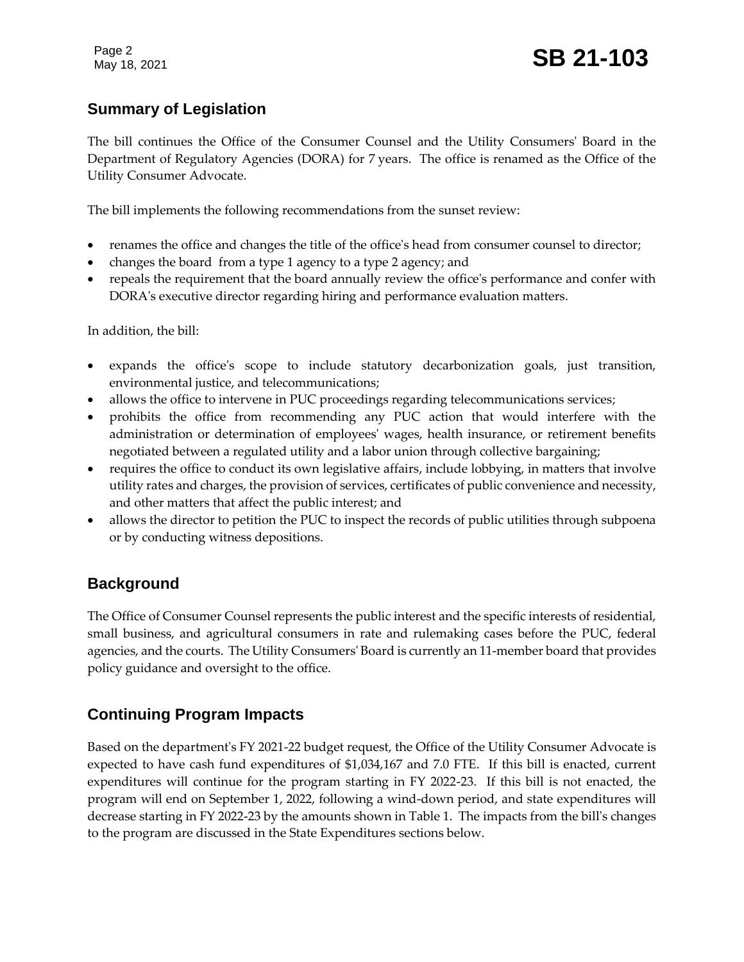# **Summary of Legislation**

The bill continues the Office of the Consumer Counsel and the Utility Consumers' Board in the Department of Regulatory Agencies (DORA) for 7 years. The office is renamed as the Office of the Utility Consumer Advocate.

The bill implements the following recommendations from the sunset review:

- renames the office and changes the title of the office's head from consumer counsel to director;
- changes the board from a type 1 agency to a type 2 agency; and
- repeals the requirement that the board annually review the office's performance and confer with DORA's executive director regarding hiring and performance evaluation matters.

In addition, the bill:

- expands the office's scope to include statutory decarbonization goals, just transition, environmental justice, and telecommunications;
- allows the office to intervene in PUC proceedings regarding telecommunications services;
- prohibits the office from recommending any PUC action that would interfere with the administration or determination of employees' wages, health insurance, or retirement benefits negotiated between a regulated utility and a labor union through collective bargaining;
- requires the office to conduct its own legislative affairs, include lobbying, in matters that involve utility rates and charges, the provision of services, certificates of public convenience and necessity, and other matters that affect the public interest; and
- allows the director to petition the PUC to inspect the records of public utilities through subpoena or by conducting witness depositions.

#### **Background**

The Office of Consumer Counsel represents the public interest and the specific interests of residential, small business, and agricultural consumers in rate and rulemaking cases before the PUC, federal agencies, and the courts. The Utility Consumers' Board is currently an 11-member board that provides policy guidance and oversight to the office.

#### **Continuing Program Impacts**

Based on the department's FY 2021-22 budget request, the Office of the Utility Consumer Advocate is expected to have cash fund expenditures of \$1,034,167 and 7.0 FTE. If this bill is enacted, current expenditures will continue for the program starting in FY 2022-23. If this bill is not enacted, the program will end on September 1, 2022, following a wind-down period, and state expenditures will decrease starting in FY 2022-23 by the amounts shown in Table 1. The impacts from the bill's changes to the program are discussed in the State Expenditures sections below.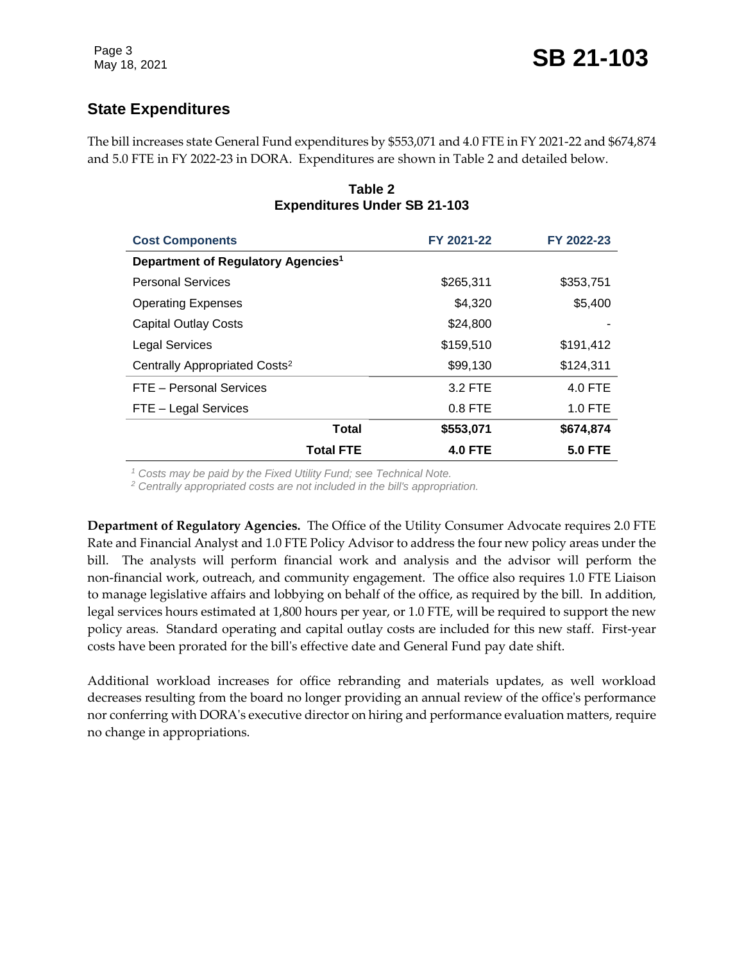# **State Expenditures**

The bill increases state General Fund expenditures by \$553,071 and 4.0 FTE in FY 2021-22 and \$674,874 and 5.0 FTE in FY 2022-23 in DORA. Expenditures are shown in Table 2 and detailed below.

| <b>Cost Components</b>                         | FY 2021-22     | FY 2022-23     |
|------------------------------------------------|----------------|----------------|
| Department of Regulatory Agencies <sup>1</sup> |                |                |
| <b>Personal Services</b>                       | \$265,311      | \$353,751      |
| <b>Operating Expenses</b>                      | \$4,320        | \$5,400        |
| <b>Capital Outlay Costs</b>                    | \$24,800       |                |
| <b>Legal Services</b>                          | \$159,510      | \$191,412      |
| Centrally Appropriated Costs <sup>2</sup>      | \$99,130       | \$124,311      |
| FTE - Personal Services                        | 3.2 FTE        | 4.0 FTE        |
| FTE - Legal Services                           | $0.8$ FTE      | $1.0$ FTE      |
| <b>Total</b>                                   | \$553,071      | \$674,874      |
| <b>Total FTE</b>                               | <b>4.0 FTE</b> | <b>5.0 FTE</b> |

#### **Table 2 Expenditures Under SB 21-103**

*<sup>1</sup> Costs may be paid by the Fixed Utility Fund; see Technical Note.*

*<sup>2</sup> Centrally appropriated costs are not included in the bill's appropriation.*

**Department of Regulatory Agencies.** The Office of the Utility Consumer Advocate requires 2.0 FTE Rate and Financial Analyst and 1.0 FTE Policy Advisor to address the four new policy areas under the bill. The analysts will perform financial work and analysis and the advisor will perform the non-financial work, outreach, and community engagement. The office also requires 1.0 FTE Liaison to manage legislative affairs and lobbying on behalf of the office, as required by the bill. In addition, legal services hours estimated at 1,800 hours per year, or 1.0 FTE, will be required to support the new policy areas. Standard operating and capital outlay costs are included for this new staff. First-year costs have been prorated for the bill's effective date and General Fund pay date shift.

Additional workload increases for office rebranding and materials updates, as well workload decreases resulting from the board no longer providing an annual review of the office's performance nor conferring with DORA's executive director on hiring and performance evaluation matters, require no change in appropriations.